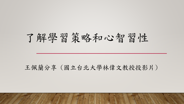## 了解學習策略和心智習性

### 王佩蘭分享 (國立台北大學林偉文教授投影片)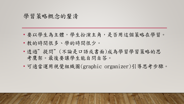#### 學習策略概念的釐清

- 要以學生為主體,學生扮演主角,是否用這個策略在學習。
- 教的時間很多、學的時間很少。
- 透過"提問"(不論是口語或書面)成為學習學習策略的思 考鷹架。最後要讓學生能自問自答。
- 可適當運用視覺組織圖(graphic organizer)引導思考步驟。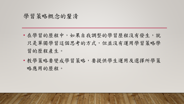#### 學習策略概念的釐清

- 在學習的歷程中,如果自我調整的學習歷程沒有發生,就 只是單獨學習這個思考的方式,但並沒有運用學習策略學 習的歷程產生。
- 教學策略要變成學習策略,要提供學生運用及選擇所學策 略應用的歷程。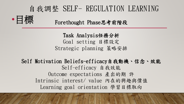

Task Analysis任務分析 Goal setting 目標設定 Strategic planning 策略安排

Self Motivation Beliefs-efficacy自我動機、信念、效能 Self-efficacy 自我效能 Outcome expectations 產出的期 許 Intrinsic interest/ value 內在的興趣與價值 Learning goal orientation 學習目標取向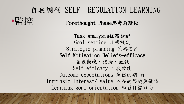# 自我調整 SELF- REGULATION LEARNING Forethought Phase思考前階段

Task Analysis任務分析 Goal setting 目標設定 Strategic planning 策略安排 Self Motivation Beliefs-efficacy 自我動機、信念、效能 Self-efficacy 自我效能 Outcome expectations 產出的期 許 Intrinsic interest/ value 內在的興趣與價值 Learning goal orientation 學習目標取向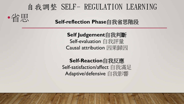# 自我調整 SELF- REGULATION LEARNING •省田<br>Self-reflection Phase自我省思階段

**Self Judgement**自我判斷 Self-evaluation 自我評量 Causal attribution 因果歸因

#### **Self-Reaction**自我反應

Self-satisfaction/affect 自我滿足 Adaptive/defensive 自我影響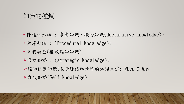知識的種類

- 陳述性知識 : 事實知識、概念知識(declarative knowledge)。
- 程序知識 : (Procedural knowledge):
- 自我調整(後設認知知識)
- **→ 策略知識 : (strategic knowledge):**
- 認知任務知識(包含脈絡和情境的知識)(K): When & Why
- ▶自我知識(Self knowledge):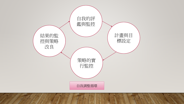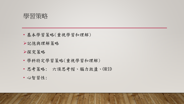學習策略

• 基本學習策略(重視學習和理解)

記憶與理解策略

#### 探究策略

- 學科特定學習策略(重視學習和理解)
- 思考策略: 六頂思考帽、腦力激盪、ORID
- 心智習性: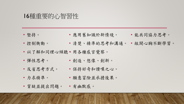#### 16種重要的心智習性

- 堅持。 • 應用舊知識於新情境。 • 能共同協力思考。
- 控制衝動。 • 清楚、精準的思考和溝通。 • 敞開心胸不斷學習。
- 以了解和同理心傾聽。 用各種感官覺察。
- 彈性思考。 • 創造、想像、創新。
- 反省思考方式。 • 保持好奇和讚嘆之心。
- 力求精準。
- 願意冒險並承擔後果。
- 質疑並提出問題。 • 有幽默感。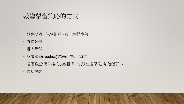#### 教導學習策略的方式

- 透過提問、視覺組織、提示建構鷹架。
- 直接教學
- 融入學科
- 反覆練習(routines):跨學科/單元/時間
- 省思修正:提供檢核表或目標以供學生省思(建構後設認知)
- 成功經驗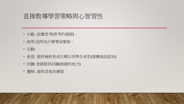### 直接教導學習策略與心智習性

- 示範 : 放聲思考(思考的過程)。
- 說明: 說明為什麼要這麼做。
- 互動:
- 省思: 提供檢核表或目標以供學生省思(建構後設認知)
- 回饋: 老師提供回饋(做錯的地方)
- 遷移: 提供其他的練習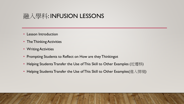### 融入學科: INFUSION LESSONS

- Lesson Introduction
- The Thinking Activities
- Writing Activities
- Prompting Students to Reflect on How are they Thinkingot
- Helping Students Transfer the Use of This Skill to Other Examples  $(\text{if}$ 遷移)
- Helping Students Transfer the Use of This Skill to Other Examples(進入情境)